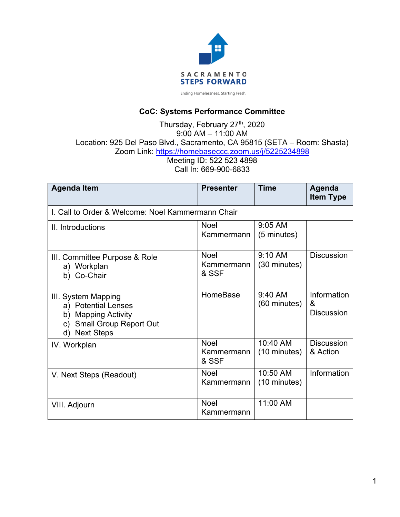

#### **CoC: Systems Performance Committee**

Thursday, February 27<sup>th</sup>, 2020 9:00 AM – 11:00 AM Location: 925 Del Paso Blvd., Sacramento, CA 95815 (SETA – Room: Shasta) Zoom Link: https://homebaseccc.zoom.us/j/5225234898 Meeting ID: 522 523 4898 Call In: 669-900-6833

| <b>Agenda Item</b>                                                                                                                                      | <b>Presenter</b>                   | <b>Time</b>              | Agenda<br><b>Item Type</b>            |  |  |  |  |
|---------------------------------------------------------------------------------------------------------------------------------------------------------|------------------------------------|--------------------------|---------------------------------------|--|--|--|--|
| I. Call to Order & Welcome: Noel Kammermann Chair                                                                                                       |                                    |                          |                                       |  |  |  |  |
| II. Introductions                                                                                                                                       | Noel<br>Kammermann                 | 9:05 AM<br>(5 minutes)   |                                       |  |  |  |  |
| III. Committee Purpose & Role<br>a) Workplan<br>b) Co-Chair                                                                                             | <b>Noel</b><br>Kammermann<br>& SSF | 9:10 AM<br>(30 minutes)  | <b>Discussion</b>                     |  |  |  |  |
| III. System Mapping<br>a) Potential Lenses<br><b>Mapping Activity</b><br>b)<br><b>Small Group Report Out</b><br>$\mathsf{C}$<br><b>Next Steps</b><br>d) | HomeBase                           | 9:40 AM<br>(60 minutes)  | Information<br>&<br><b>Discussion</b> |  |  |  |  |
| IV. Workplan                                                                                                                                            | <b>Noel</b><br>Kammermann<br>& SSF | 10:40 AM<br>(10 minutes) | <b>Discussion</b><br>& Action         |  |  |  |  |
| V. Next Steps (Readout)                                                                                                                                 | <b>Noel</b><br>Kammermann          | 10:50 AM<br>(10 minutes) | Information                           |  |  |  |  |
| VIII. Adjourn                                                                                                                                           | Noel<br>Kammermann                 | 11:00 AM                 |                                       |  |  |  |  |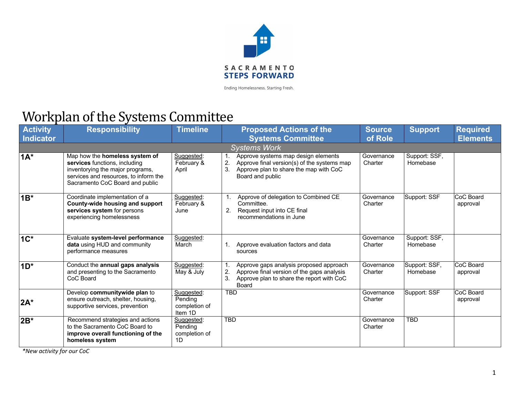

### Workplan of the Systems Committee

| <b>Activity</b><br>Indicator | <b>Responsibility</b>                                                                                                                                                           | <b>Timeline</b>                                   | <b>Proposed Actions of the</b><br><b>Systems Committee</b>                                                                                                   | <b>Source</b><br>of Role | <b>Support</b>            | <b>Required</b><br><b>Elements</b> |
|------------------------------|---------------------------------------------------------------------------------------------------------------------------------------------------------------------------------|---------------------------------------------------|--------------------------------------------------------------------------------------------------------------------------------------------------------------|--------------------------|---------------------------|------------------------------------|
| <b>Systems Work</b>          |                                                                                                                                                                                 |                                                   |                                                                                                                                                              |                          |                           |                                    |
| $1A^*$                       | Map how the homeless system of<br>services functions, including<br>inventorying the major programs,<br>services and resources, to inform the<br>Sacramento CoC Board and public | Suggested:<br>February &<br>April                 | Approve systems map design elements<br>2.<br>Approve final version(s) of the systems map<br>3.<br>Approve plan to share the map with CoC<br>Board and public | Governance<br>Charter    | Support: SSF,<br>Homebase |                                    |
| $1B^*$                       | Coordinate implementation of a<br>County-wide housing and support<br>services system for persons<br>experiencing homelessness                                                   | Suggested:<br>February &<br>June                  | Approve of delegation to Combined CE<br>Committee.<br>2.<br>Request input into CE final<br>recommendations in June                                           | Governance<br>Charter    | Support: SSF              | CoC Board<br>approval              |
| $1C^*$                       | Evaluate system-level performance<br>data using HUD and community<br>performance measures                                                                                       | Suggested:<br>March                               | Approve evaluation factors and data<br>sources                                                                                                               | Governance<br>Charter    | Support: SSF,<br>Homebase |                                    |
| $1D^*$                       | Conduct the annual gaps analysis<br>and presenting to the Sacramento<br>CoC Board                                                                                               | Suggested:<br>May & July                          | Approve gaps analysis proposed approach<br>2.<br>Approve final version of the gaps analysis<br>3.<br>Approve plan to share the report with CoC<br>Board      | Governance<br>Charter    | Support: SSF,<br>Homebase | CoC Board<br>approval              |
| $2A^*$                       | Develop communitywide plan to<br>ensure outreach, shelter, housing,<br>supportive services, prevention                                                                          | Suggested:<br>Pending<br>completion of<br>Item 1D | <b>TBD</b>                                                                                                                                                   | Governance<br>Charter    | Support: SSF              | CoC Board<br>approval              |
| $2B^*$                       | Recommend strategies and actions<br>to the Sacramento CoC Board to<br>improve overall functioning of the<br>homeless system                                                     | Suggested:<br>Pending<br>completion of<br>1D      | <b>TBD</b>                                                                                                                                                   | Governance<br>Charter    | <b>TBD</b>                |                                    |

*\*New activity for our CoC*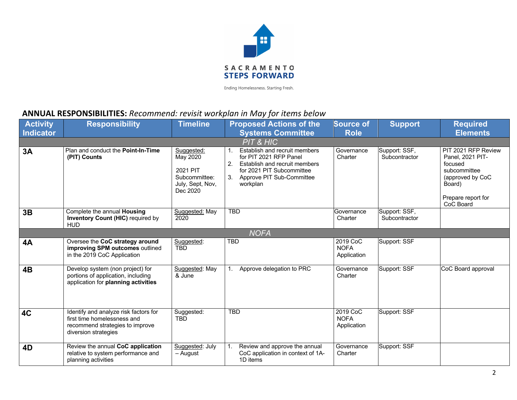

#### **ANNUAL RESPONSIBILITIES:** *Recommend: revisit workplan in May for items below*

| <b>Activity</b><br><b>Indicator</b> | <b>Responsibility</b>                                                                                                           | <b>Timeline</b>                                                                     | <b>Proposed Actions of the</b><br><b>Systems Committee</b>                                                                                                                       | <b>Source of</b><br><b>Role</b>        | <b>Support</b>                 | <b>Required</b><br><b>Elements</b>                                                                                                  |
|-------------------------------------|---------------------------------------------------------------------------------------------------------------------------------|-------------------------------------------------------------------------------------|----------------------------------------------------------------------------------------------------------------------------------------------------------------------------------|----------------------------------------|--------------------------------|-------------------------------------------------------------------------------------------------------------------------------------|
|                                     |                                                                                                                                 |                                                                                     | PIT & HIC                                                                                                                                                                        |                                        |                                |                                                                                                                                     |
| 3A                                  | Plan and conduct the Point-In-Time<br>(PIT) Counts                                                                              | Suggested:<br>May 2020<br>2021 PIT<br>Subcommittee:<br>July, Sept, Nov,<br>Dec 2020 | Establish and recruit members<br>1.<br>for PIT 2021 RFP Panel<br>2.<br>Establish and recruit members<br>for 2021 PIT Subcommittee<br>Approve PIT Sub-Committee<br>3.<br>workplan | Governance<br>Charter                  | Support: SSF,<br>Subcontractor | PIT 2021 RFP Review<br>Panel, 2021 PIT-<br>focused<br>subcommittee<br>(approved by CoC<br>Board)<br>Prepare report for<br>CoC Board |
| 3B                                  | Complete the annual Housing<br><b>Inventory Count (HIC)</b> required by<br><b>HUD</b>                                           | Suggested: May<br>2020                                                              | <b>TBD</b>                                                                                                                                                                       | Governance<br>Charter                  | Support: SSF,<br>Subcontractor |                                                                                                                                     |
| <b>NOFA</b>                         |                                                                                                                                 |                                                                                     |                                                                                                                                                                                  |                                        |                                |                                                                                                                                     |
| <b>4A</b>                           | Oversee the CoC strategy around<br>improving SPM outcomes outlined<br>in the 2019 CoC Application                               | Suggested:<br><b>TBD</b>                                                            | <b>TBD</b>                                                                                                                                                                       | 2019 CoC<br><b>NOFA</b><br>Application | Support: SSF                   |                                                                                                                                     |
| 4B                                  | Develop system (non project) for<br>portions of application, including<br>application for planning activities                   | Suggested: May<br>& June                                                            | Approve delegation to PRC<br>1.                                                                                                                                                  | Governance<br>Charter                  | Support: SSF                   | CoC Board approval                                                                                                                  |
| <b>4C</b>                           | Identify and analyze risk factors for<br>first time homelessness and<br>recommend strategies to improve<br>diversion strategies | Suggested:<br><b>TBD</b>                                                            | <b>TBD</b>                                                                                                                                                                       | 2019 CoC<br><b>NOFA</b><br>Application | Support: SSF                   |                                                                                                                                     |
| 4D                                  | Review the annual CoC application<br>relative to system performance and<br>planning activities                                  | Suggested: July<br>– August                                                         | Review and approve the annual<br>1.<br>CoC application in context of 1A-<br>1D items                                                                                             | Governance<br>Charter                  | Support: SSF                   |                                                                                                                                     |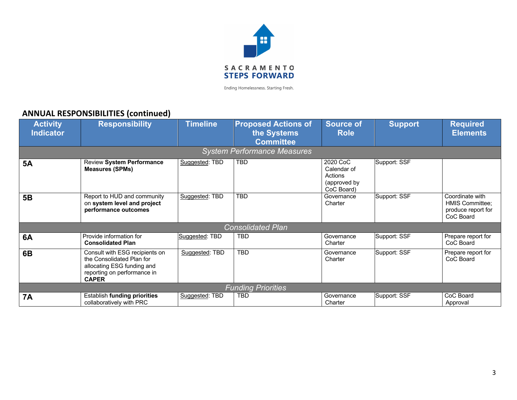

#### **ANNUAL RESPONSIBILITIES (continued)**

| <b>Activity</b><br><b>Indicator</b> | <b>Responsibility</b>                                                                                                                    | <b>Timeline</b> | <b>Proposed Actions of</b><br>the Systems<br><b>Committee</b> | <b>Source of</b><br><b>Role</b>                                  | <b>Support</b> | <b>Required</b><br><b>Elements</b>                                           |  |
|-------------------------------------|------------------------------------------------------------------------------------------------------------------------------------------|-----------------|---------------------------------------------------------------|------------------------------------------------------------------|----------------|------------------------------------------------------------------------------|--|
| <b>System Performance Measures</b>  |                                                                                                                                          |                 |                                                               |                                                                  |                |                                                                              |  |
| <b>5A</b>                           | <b>Review System Performance</b><br><b>Measures (SPMs)</b>                                                                               | Suggested: TBD  | <b>TBD</b>                                                    | 2020 CoC<br>Calendar of<br>Actions<br>(approved by<br>CoC Board) | Support: SSF   |                                                                              |  |
| 5B                                  | Report to HUD and community<br>on system level and project<br>performance outcomes                                                       | Suggested: TBD  | <b>TBD</b>                                                    | Governance<br>Charter                                            | Support: SSF   | Coordinate with<br><b>HMIS Committee;</b><br>produce report for<br>CoC Board |  |
| <b>Consolidated Plan</b>            |                                                                                                                                          |                 |                                                               |                                                                  |                |                                                                              |  |
| 6A                                  | Provide information for<br><b>Consolidated Plan</b>                                                                                      | Suggested: TBD  | <b>TBD</b>                                                    | Governance<br>Charter                                            | Support: SSF   | Prepare report for<br>CoC Board                                              |  |
| 6B                                  | Consult with ESG recipients on<br>the Consolidated Plan for<br>allocating ESG funding and<br>reporting on performance in<br><b>CAPER</b> | Suggested: TBD  | <b>TBD</b>                                                    | Governance<br>Charter                                            | Support: SSF   | Prepare report for<br>CoC Board                                              |  |
| <b>Funding Priorities</b>           |                                                                                                                                          |                 |                                                               |                                                                  |                |                                                                              |  |
| <b>7A</b>                           | Establish funding priorities<br>collaboratively with PRC                                                                                 | Suggested: TBD  | <b>TBD</b>                                                    | Governance<br>Charter                                            | Support: SSF   | CoC Board<br>Approval                                                        |  |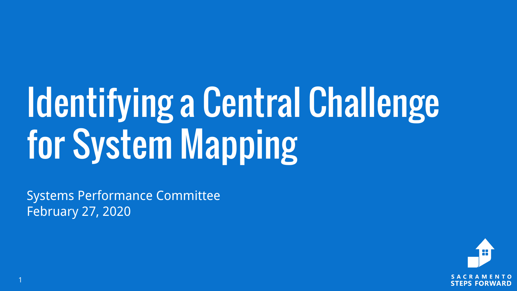# Identifying a Central Challenge for System Mapping

Systems Performance Committee February 27, 2020

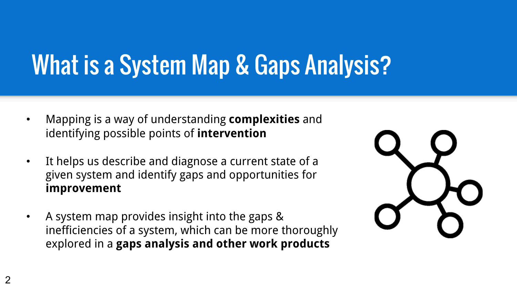## What is a System Map & Gaps Analysis?

- Mapping is a way of understanding **complexities** and identifying possible points of **intervention**
- It helps us describe and diagnose a current state of a given system and identify gaps and opportunities for improvement
- A system map provides insight into the gaps & inefficiencies of a system, which can be more thoroughly explored in a gaps analysis and other work products

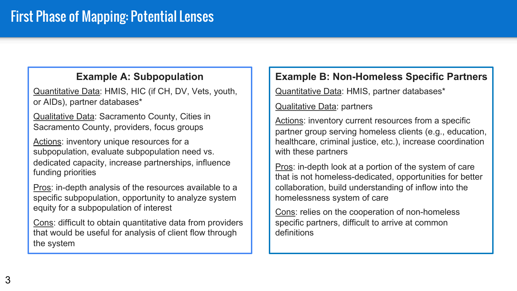#### **Example A: Subpopulation**

Quantitative Data: HMIS, HIC (if CH, DV, Vets, youth, or AIDs), partner databases\*

Qualitative Data: Sacramento County, Cities in Sacramento County, providers, focus groups

Actions: inventory unique resources for a subpopulation, evaluate subpopulation need vs. dedicated capacity, increase partnerships, influence funding priorities

Pros: in-depth analysis of the resources available to a specific subpopulation, opportunity to analyze system equity for a subpopulation of interest

Cons: difficult to obtain quantitative data from providers that would be useful for analysis of client flow through the system

#### **Example B: Non-Homeless Specific Partners**

Quantitative Data: HMIS, partner databases\*

Qualitative Data: partners

Actions: inventory current resources from a specific partner group serving homeless clients (e.g., education, healthcare, criminal justice, etc.), increase coordination with these partners

Pros: in-depth look at a portion of the system of care that is not homeless-dedicated, opportunities for better collaboration, build understanding of inflow into the homelessness system of care

Cons: relies on the cooperation of non-homeless specific partners, difficult to arrive at common definitions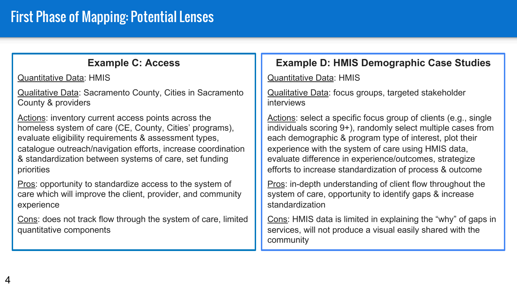#### **Example C: Access**

Quantitative Data: HMIS

Qualitative Data: Sacramento County, Cities in Sacramento County & providers

Actions: inventory current access points across the homeless system of care (CE, County, Cities' programs), evaluate eligibility requirements & assessment types, catalogue outreach/navigation efforts, increase coordination & standardization between systems of care, set funding priorities

Pros: opportunity to standardize access to the system of care which will improve the client, provider, and community experience

Cons: does not track flow through the system of care, limited quantitative components

#### **Example D: HMIS Demographic Case Studies**

Quantitative Data: HMIS

Qualitative Data: focus groups, targeted stakeholder interviews

Actions: select a specific focus group of clients (e.g., single individuals scoring 9+), randomly select multiple cases from each demographic & program type of interest, plot their experience with the system of care using HMIS data, evaluate difference in experience/outcomes, strategize efforts to increase standardization of process & outcome

Pros: in-depth understanding of client flow throughout the system of care, opportunity to identify gaps & increase standardization

Cons: HMIS data is limited in explaining the "why" of gaps in services, will not produce a visual easily shared with the community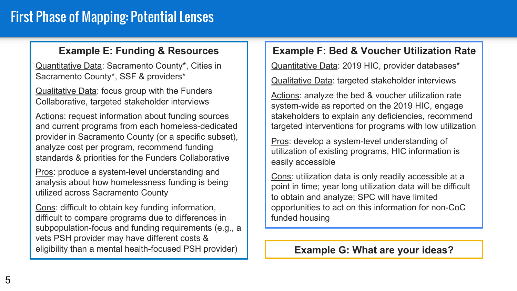### First Phase of Mapping: Potential Lenses

#### **Example E: Funding & Resources**

Quantitative Data: Sacramento County\*, Cities in Sacramento County\*, SSF & providers\*

Qualitative Data: focus group with the Funders Collaborative, targeted stakeholder interviews

Actions: request information about funding sources and current programs from each homeless-dedicated provider in Sacramento County (or a specific subset), analyze cost per program, recommend funding standards & priorities for the Funders Collaborative

Pros: produce a system-level understanding and analysis about how homelessness funding is being utilized across Sacramento County

Cons: difficult to obtain key funding information, difficult to compare programs due to differences in subpopulation-focus and funding requirements (e.g., a vets PSH provider may have different costs & eligibility than a mental health-focused PSH provider)

#### **Example F: Bed & Voucher Utilization Rate**

Quantitative Data: 2019 HIC, provider databases\*

Qualitative Data: targeted stakeholder interviews

Actions: analyze the bed & voucher utilization rate system-wide as reported on the 2019 HIC, engage stakeholders to explain any deficiencies, recommend targeted interventions for programs with low utilization

Pros: develop a system-level understanding of utilization of existing programs, HIC information is easily accessible

Cons: utilization data is only readily accessible at a point in time; year long utilization data will be difficult to obtain and analyze; SPC will have limited opportunities to act on this information for non-CoC funded housing

**Example G: What are your ideas?**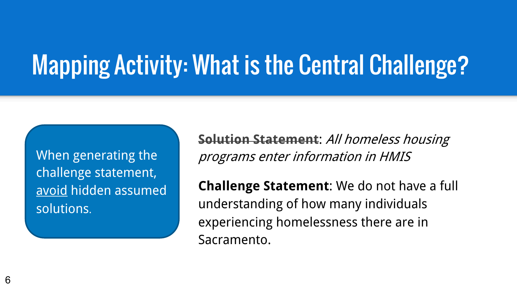## Mapping Activity: What is the Central Challenge?

When generating the challenge statement, avoid hidden assumed solutions.

Solution Statement: All homeless housing programs enter information in HMIS

Challenge Statement: We do not have a full understanding of how many individuals experiencing homelessness there are in Sacramento.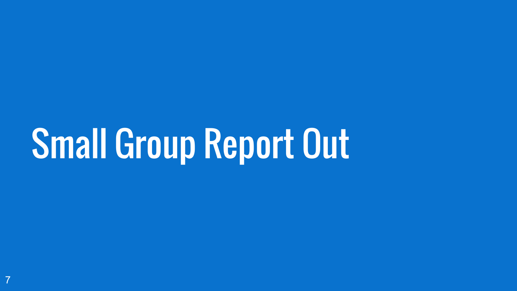# Small Group Report Out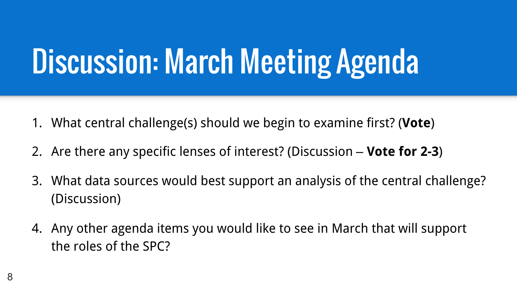## Discussion: March Meeting Agenda

- 1. What central challenge(s) should we begin to examine first? (Vote)
- 2. Are there any specific lenses of interest? (Discussion Vote for 2-3)
- 3. What data sources would best support an analysis of the central challenge? (Discussion)
- 4. Any other agenda items you would like to see in March that will support the roles of the SPC?